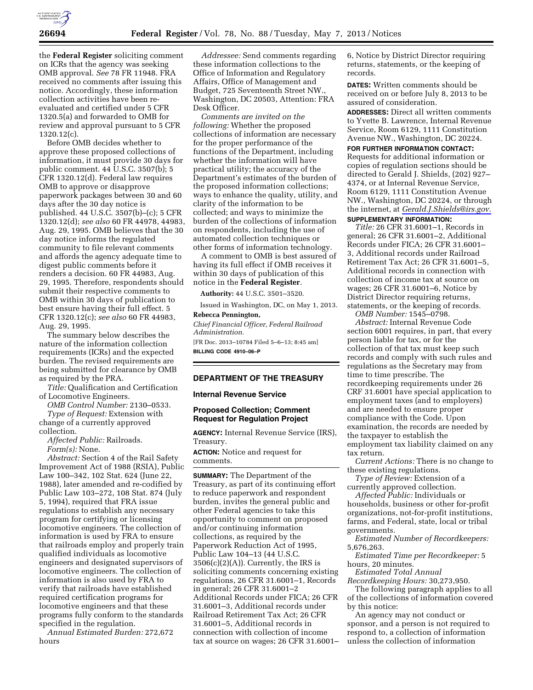

the **Federal Register** soliciting comment on ICRs that the agency was seeking OMB approval. *See* 78 FR 11948. FRA received no comments after issuing this notice. Accordingly, these information collection activities have been reevaluated and certified under 5 CFR 1320.5(a) and forwarded to OMB for review and approval pursuant to 5 CFR 1320.12(c).

Before OMB decides whether to approve these proposed collections of information, it must provide 30 days for public comment. 44 U.S.C. 3507(b); 5 CFR 1320.12(d). Federal law requires OMB to approve or disapprove paperwork packages between 30 and 60 days after the 30 day notice is published. 44 U.S.C. 3507(b)–(c); 5 CFR 1320.12(d); *see also* 60 FR 44978, 44983, Aug. 29, 1995. OMB believes that the 30 day notice informs the regulated community to file relevant comments and affords the agency adequate time to digest public comments before it renders a decision. 60 FR 44983, Aug. 29, 1995. Therefore, respondents should submit their respective comments to OMB within 30 days of publication to best ensure having their full effect. 5 CFR 1320.12(c); *see also* 60 FR 44983, Aug. 29, 1995.

The summary below describes the nature of the information collection requirements (ICRs) and the expected burden. The revised requirements are being submitted for clearance by OMB as required by the PRA.

*Title:* Qualification and Certification of Locomotive Engineers.

*OMB Control Number:* 2130–0533. *Type of Request:* Extension with change of a currently approved

collection.

*Affected Public:* Railroads. *Form(s):* None.

*Abstract:* Section 4 of the Rail Safety Improvement Act of 1988 (RSIA), Public Law 100–342, 102 Stat. 624 (June 22, 1988), later amended and re-codified by Public Law 103–272, 108 Stat. 874 (July 5, 1994), required that FRA issue regulations to establish any necessary program for certifying or licensing locomotive engineers. The collection of information is used by FRA to ensure that railroads employ and properly train qualified individuals as locomotive engineers and designated supervisors of locomotive engineers. The collection of information is also used by FRA to verify that railroads have established required certification programs for locomotive engineers and that these programs fully conform to the standards specified in the regulation.

*Annual Estimated Burden:* 272,672 hours

*Addressee:* Send comments regarding these information collections to the Office of Information and Regulatory Affairs, Office of Management and Budget, 725 Seventeenth Street NW., Washington, DC 20503, Attention: FRA Desk Officer.

*Comments are invited on the following:* Whether the proposed collections of information are necessary for the proper performance of the functions of the Department, including whether the information will have practical utility; the accuracy of the Department's estimates of the burden of the proposed information collections; ways to enhance the quality, utility, and clarity of the information to be collected; and ways to minimize the burden of the collections of information on respondents, including the use of automated collection techniques or other forms of information technology.

A comment to OMB is best assured of having its full effect if OMB receives it within 30 days of publication of this notice in the **Federal Register**.

**Authority:** 44 U.S.C. 3501–3520.

Issued in Washington, DC, on May 1, 2013. **Rebecca Pennington,** 

*Chief Financial Officer, Federal Railroad Administration.* 

[FR Doc. 2013–10784 Filed 5–6–13; 8:45 am] **BILLING CODE 4910–06–P** 

# **DEPARTMENT OF THE TREASURY**

#### **Internal Revenue Service**

# **Proposed Collection; Comment Request for Regulation Project**

**AGENCY:** Internal Revenue Service (IRS), Treasury.

**ACTION:** Notice and request for comments.

**SUMMARY:** The Department of the Treasury, as part of its continuing effort to reduce paperwork and respondent burden, invites the general public and other Federal agencies to take this opportunity to comment on proposed and/or continuing information collections, as required by the Paperwork Reduction Act of 1995, Public Law 104–13 (44 U.S.C.  $3506(c)(2)(A)$ . Currently, the IRS is soliciting comments concerning existing regulations, 26 CFR 31.6001–1, Records in general; 26 CFR 31.6001–2 Additional Records under FICA; 26 CFR 31.6001–3, Additional records under Railroad Retirement Tax Act; 26 CFR 31.6001–5, Additional records in connection with collection of income tax at source on wages; 26 CFR 31.6001–

6, Notice by District Director requiring returns, statements, or the keeping of records.

**DATES:** Written comments should be received on or before July 8, 2013 to be assured of consideration.

**ADDRESSES:** Direct all written comments to Yvette B. Lawrence, Internal Revenue Service, Room 6129, 1111 Constitution Avenue NW., Washington, DC 20224.

**FOR FURTHER INFORMATION CONTACT:**  Requests for additional information or copies of regulation sections should be directed to Gerald J. Shields, (202) 927– 4374, or at Internal Revenue Service, Room 6129, 1111 Constitution Avenue NW., Washington, DC 20224, or through the internet, at *[Gerald.J.Shields@irs.gov](mailto:Gerald.J.Shields@irs.gov)*. **SUPPLEMENTARY INFORMATION:** 

*Title:* 26 CFR 31.6001–1, Records in general; 26 CFR 31.6001–2, Additional Records under FICA; 26 CFR 31.6001– 3, Additional records under Railroad Retirement Tax Act; 26 CFR 31.6001–5, Additional records in connection with collection of income tax at source on wages; 26 CFR 31.6001–6, Notice by District Director requiring returns, statements, or the keeping of records.

*OMB Number:* 1545–0798.

*Abstract:* Internal Revenue Code section 6001 requires, in part, that every person liable for tax, or for the collection of that tax must keep such records and comply with such rules and regulations as the Secretary may from time to time prescribe. The recordkeeping requirements under 26 CRF 31.6001 have special application to employment taxes (and to employers) and are needed to ensure proper compliance with the Code. Upon examination, the records are needed by the taxpayer to establish the employment tax liability claimed on any tax return.

*Current Actions:* There is no change to these existing regulations.

*Type of Review:* Extension of a currently approved collection.

*Affected Public:* Individuals or households, business or other for-profit organizations, not-for-profit institutions, farms, and Federal, state, local or tribal governments.

*Estimated Number of Recordkeepers:*  5,676,263.

*Estimated Time per Recordkeeper:* 5 hours, 20 minutes.

*Estimated Total Annual Recordkeeping Hours:* 30,273,950.

The following paragraph applies to all of the collections of information covered by this notice:

An agency may not conduct or sponsor, and a person is not required to respond to, a collection of information unless the collection of information